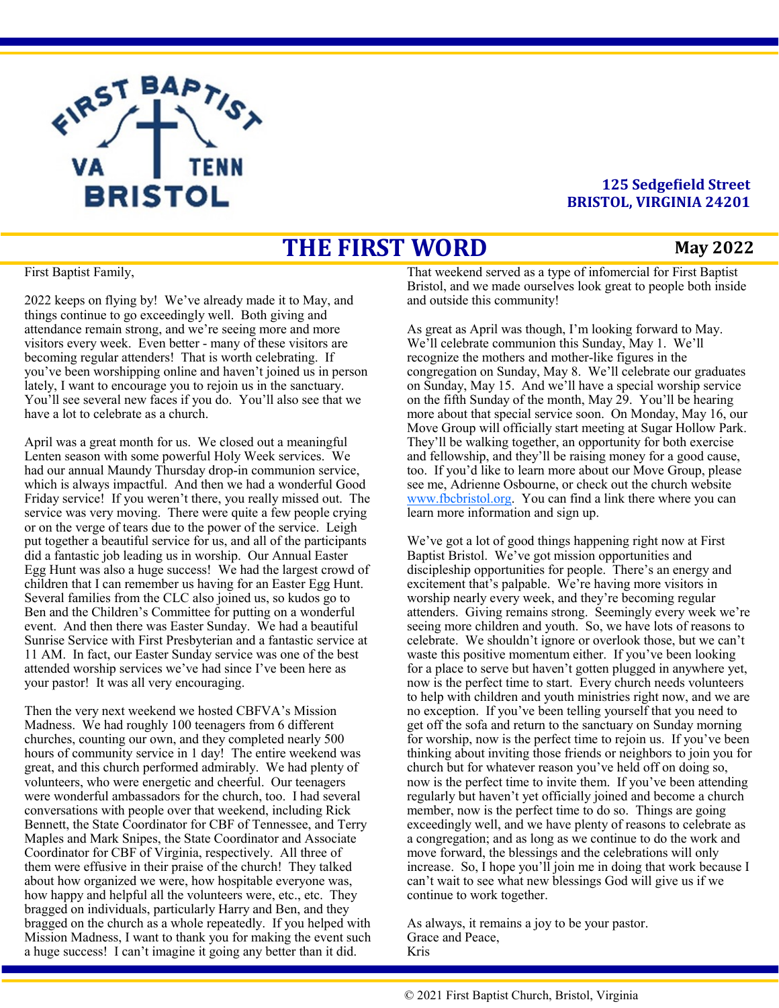

## **125 Sedgefield Street BRISTOL, VIRGINIA 24201**

# **THE FIRST WORD**

#### **May 2022**

#### First Baptist Family,

2022 keeps on flying by! We've already made it to May, and things continue to go exceedingly well. Both giving and attendance remain strong, and we're seeing more and more visitors every week. Even better - many of these visitors are becoming regular attenders! That is worth celebrating. If you've been worshipping online and haven't joined us in person lately, I want to encourage you to rejoin us in the sanctuary. You'll see several new faces if you do. You'll also see that we have a lot to celebrate as a church.

April was a great month for us. We closed out a meaningful Lenten season with some powerful Holy Week services. We had our annual Maundy Thursday drop-in communion service, which is always impactful. And then we had a wonderful Good Friday service! If you weren't there, you really missed out. The service was very moving. There were quite a few people crying or on the verge of tears due to the power of the service. Leigh put together a beautiful service for us, and all of the participants did a fantastic job leading us in worship. Our Annual Easter Egg Hunt was also a huge success! We had the largest crowd of children that I can remember us having for an Easter Egg Hunt. Several families from the CLC also joined us, so kudos go to Ben and the Children's Committee for putting on a wonderful event. And then there was Easter Sunday. We had a beautiful Sunrise Service with First Presbyterian and a fantastic service at 11 AM. In fact, our Easter Sunday service was one of the best attended worship services we've had since I've been here as your pastor! It was all very encouraging.

Then the very next weekend we hosted CBFVA's Mission Madness. We had roughly 100 teenagers from 6 different churches, counting our own, and they completed nearly 500 hours of community service in 1 day! The entire weekend was great, and this church performed admirably. We had plenty of volunteers, who were energetic and cheerful. Our teenagers were wonderful ambassadors for the church, too. I had several conversations with people over that weekend, including Rick Bennett, the State Coordinator for CBF of Tennessee, and Terry Maples and Mark Snipes, the State Coordinator and Associate Coordinator for CBF of Virginia, respectively. All three of them were effusive in their praise of the church! They talked about how organized we were, how hospitable everyone was, how happy and helpful all the volunteers were, etc., etc. They bragged on individuals, particularly Harry and Ben, and they bragged on the church as a whole repeatedly. If you helped with Mission Madness, I want to thank you for making the event such a huge success! I can't imagine it going any better than it did.

That weekend served as a type of infomercial for First Baptist Bristol, and we made ourselves look great to people both inside and outside this community!

As great as April was though, I'm looking forward to May. We'll celebrate communion this Sunday, May 1. We'll recognize the mothers and mother-like figures in the congregation on Sunday, May 8. We'll celebrate our graduates on Sunday, May 15. And we'll have a special worship service on the fifth Sunday of the month, May 29. You'll be hearing more about that special service soon. On Monday, May 16, our Move Group will officially start meeting at Sugar Hollow Park. They'll be walking together, an opportunity for both exercise and fellowship, and they'll be raising money for a good cause, too. If you'd like to learn more about our Move Group, please see me, Adrienne Osbourne, or check out the church website [www.fbcbristol.org.](http://www.fbcbristol.org) You can find a link there where you can learn more information and sign up.

We've got a lot of good things happening right now at First Baptist Bristol. We've got mission opportunities and discipleship opportunities for people. There's an energy and excitement that's palpable. We're having more visitors in worship nearly every week, and they're becoming regular attenders. Giving remains strong. Seemingly every week we're seeing more children and youth. So, we have lots of reasons to celebrate. We shouldn't ignore or overlook those, but we can't waste this positive momentum either. If you've been looking for a place to serve but haven't gotten plugged in anywhere yet, now is the perfect time to start. Every church needs volunteers to help with children and youth ministries right now, and we are no exception. If you've been telling yourself that you need to get off the sofa and return to the sanctuary on Sunday morning for worship, now is the perfect time to rejoin us. If you've been thinking about inviting those friends or neighbors to join you for church but for whatever reason you've held off on doing so, now is the perfect time to invite them. If you've been attending regularly but haven't yet officially joined and become a church member, now is the perfect time to do so. Things are going exceedingly well, and we have plenty of reasons to celebrate as a congregation; and as long as we continue to do the work and move forward, the blessings and the celebrations will only increase. So, I hope you'll join me in doing that work because I can't wait to see what new blessings God will give us if we continue to work together.

As always, it remains a joy to be your pastor. Grace and Peace, Kris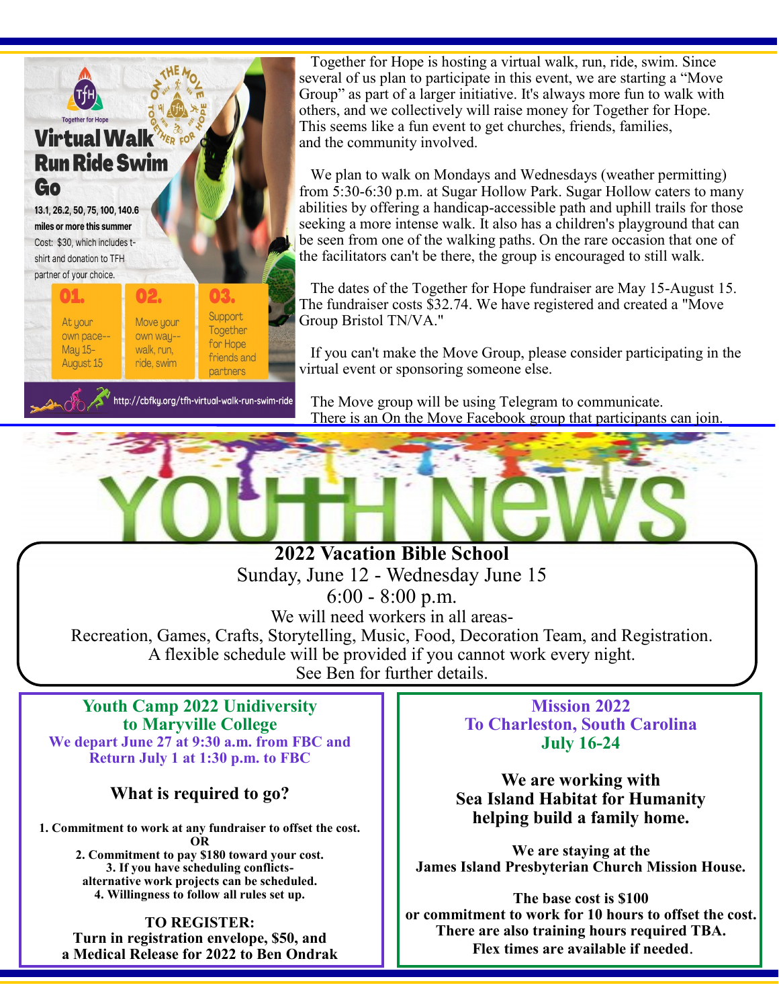

 Together for Hope is hosting a virtual walk, run, ride, swim. Since several of us plan to participate in this event, we are starting a "Move Group" as part of a larger initiative. It's always more fun to walk with others, and we collectively will raise money for Together for Hope. This seems like a fun event to get churches, friends, families, and the community involved.

 We plan to walk on Mondays and Wednesdays (weather permitting) from 5:30-6:30 p.m. at Sugar Hollow Park. Sugar Hollow caters to many abilities by offering a handicap-accessible path and uphill trails for those seeking a more intense walk. It also has a children's playground that can be seen from one of the walking paths. On the rare occasion that one of the facilitators can't be there, the group is encouraged to still walk.

 The dates of the Together for Hope fundraiser are May 15-August 15. The fundraiser costs \$32.74. We have registered and created a "Move Group Bristol TN/VA."

 If you can't make the Move Group, please consider participating in the virtual event or sponsoring someone else.

 The Move group will be using Telegram to communicate. There is an On the Move Facebook group that participants can join.

**2022 Vacation Bible School** Sunday, June 12 - Wednesday June 15 6:00 - 8:00 p.m. We will need workers in all areas-Recreation, Games, Crafts, Storytelling, Music, Food, Decoration Team, and Registration. A flexible schedule will be provided if you cannot work every night. See Ben for further details.

#### **Youth Camp 2022 Unidiversity to Maryville College We depart June 27 at 9:30 a.m. from FBC and Return July 1 at 1:30 p.m. to FBC**

# **What is required to go?**

**1. Commitment to work at any fundraiser to offset the cost. OR 2. Commitment to pay \$180 toward your cost.**

**3. If you have scheduling conflictsalternative work projects can be scheduled. 4. Willingness to follow all rules set up.**

**TO REGISTER: Turn in registration envelope, \$50, and a Medical Release for 2022 to Ben Ondrak**

**Mission 2022 To Charleston, South Carolina July 16-24**

**We are working with Sea Island Habitat for Humanity helping build a family home.** 

**We are staying at the James Island Presbyterian Church Mission House.** 

**The base cost is \$100 or commitment to work for 10 hours to offset the cost. There are also training hours required TBA. Flex times are available if needed**.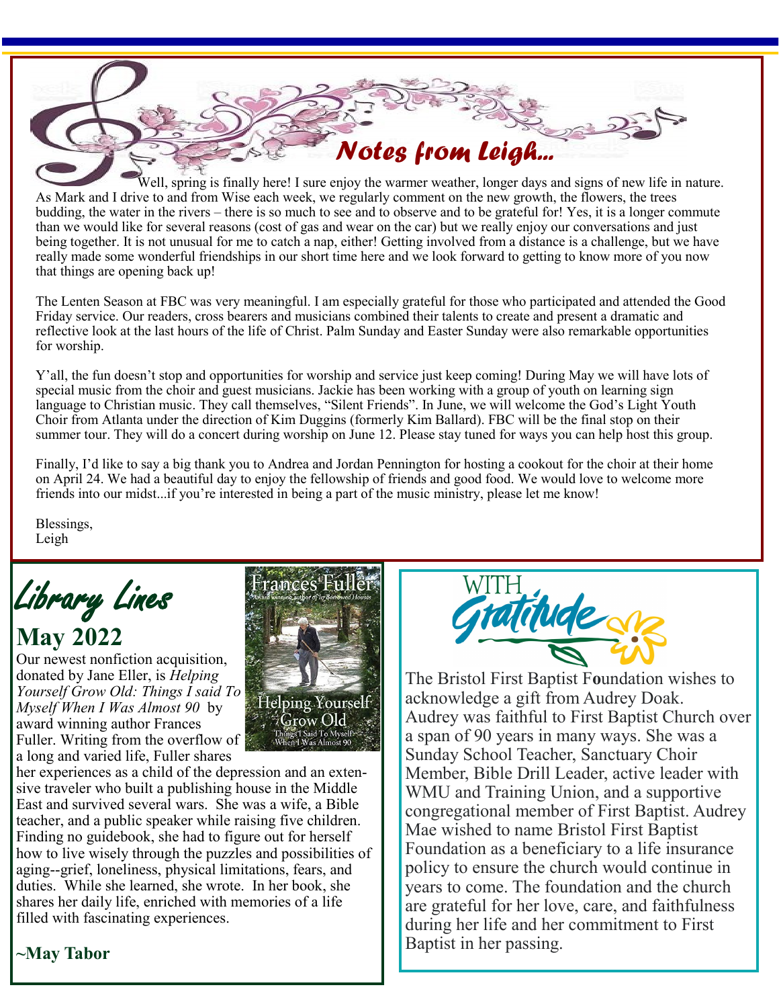Well, spring is finally here! I sure enjoy the warmer weather, longer days and signs of new life in nature. As Mark and I drive to and from Wise each week, we regularly comment on the new growth, the flowers, the trees budding, the water in the rivers – there is so much to see and to observe and to be grateful for! Yes, it is a longer commute than we would like for several reasons (cost of gas and wear on the car) but we really enjoy our conversations and just being together. It is not unusual for me to catch a nap, either! Getting involved from a distance is a challenge, but we have really made some wonderful friendships in our short time here and we look forward to getting to know more of you now that things are opening back up!

*Notes from Leigh...*

The Lenten Season at FBC was very meaningful. I am especially grateful for those who participated and attended the Good Friday service. Our readers, cross bearers and musicians combined their talents to create and present a dramatic and reflective look at the last hours of the life of Christ. Palm Sunday and Easter Sunday were also remarkable opportunities for worship.

Y'all, the fun doesn't stop and opportunities for worship and service just keep coming! During May we will have lots of special music from the choir and guest musicians. Jackie has been working with a group of youth on learning sign language to Christian music. They call themselves, "Silent Friends". In June, we will welcome the God's Light Youth Choir from Atlanta under the direction of Kim Duggins (formerly Kim Ballard). FBC will be the final stop on their summer tour. They will do a concert during worship on June 12. Please stay tuned for ways you can help host this group.

Finally, I'd like to say a big thank you to Andrea and Jordan Pennington for hosting a cookout for the choir at their home on April 24. We had a beautiful day to enjoy the fellowship of friends and good food. We would love to welcome more friends into our midst...if you're interested in being a part of the music ministry, please let me know!

> Helping Yourself  $\sqrt[4]{\rm grow~Old}$

Blessings, Leigh

Library Lines **May 2022**

Our newest nonfiction acquisition, donated by Jane Eller, is *Helping Yourself Grow Old: Things I said To Myself When I Was Almost 90* by award winning author Frances Fuller. Writing from the overflow of a long and varied life, Fuller shares

her experiences as a child of the depression and an extensive traveler who built a publishing house in the Middle East and survived several wars. She was a wife, a Bible teacher, and a public speaker while raising five children. Finding no guidebook, she had to figure out for herself how to live wisely through the puzzles and possibilities of aging--grief, loneliness, physical limitations, fears, and duties. While she learned, she wrote. In her book, she shares her daily life, enriched with memories of a life filled with fascinating experiences.



The Bristol First Baptist F**o**undation wishes to acknowledge a gift from Audrey Doak. Audrey was faithful to First Baptist Church over a span of 90 years in many ways. She was a Sunday School Teacher, Sanctuary Choir Member, Bible Drill Leader, active leader with WMU and Training Union, and a supportive congregational member of First Baptist. Audrey Mae wished to name Bristol First Baptist Foundation as a beneficiary to a life insurance policy to ensure the church would continue in years to come. The foundation and the church are grateful for her love, care, and faithfulness during her life and her commitment to First Baptist in her passing.

# **~May Tabor**